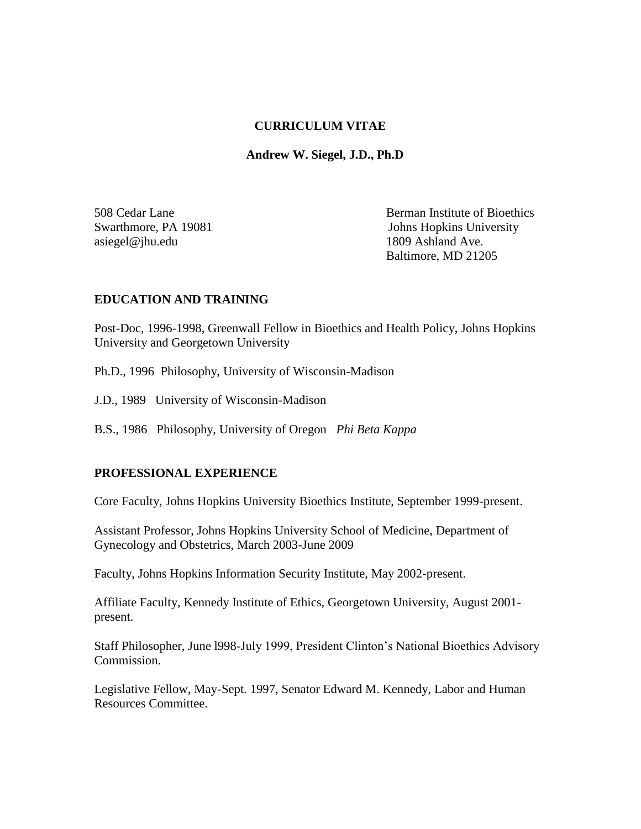#### **CURRICULUM VITAE**

 **Andrew W. Siegel, J.D., Ph.D** 

asiegel@jhu.edu 1809 Ashland Ave.

508 Cedar Lane Berman Institute of Bioethics Swarthmore, PA 19081 Johns Hopkins University Baltimore, MD 21205

## **EDUCATION AND TRAINING**

Post-Doc, 1996-1998, Greenwall Fellow in Bioethics and Health Policy, Johns Hopkins University and Georgetown University

Ph.D., 1996 Philosophy, University of Wisconsin-Madison

J.D., 1989 University of Wisconsin-Madison

B.S., 1986 Philosophy, University of Oregon *Phi Beta Kappa*

#### **PROFESSIONAL EXPERIENCE**

Core Faculty, Johns Hopkins University Bioethics Institute, September 1999-present.

Assistant Professor, Johns Hopkins University School of Medicine, Department of Gynecology and Obstetrics, March 2003-June 2009

Faculty, Johns Hopkins Information Security Institute, May 2002-present.

Affiliate Faculty, Kennedy Institute of Ethics, Georgetown University, August 2001 present.

Staff Philosopher, June l998-July 1999, President Clinton's National Bioethics Advisory Commission.

Legislative Fellow, May-Sept. 1997, Senator Edward M. Kennedy, Labor and Human Resources Committee.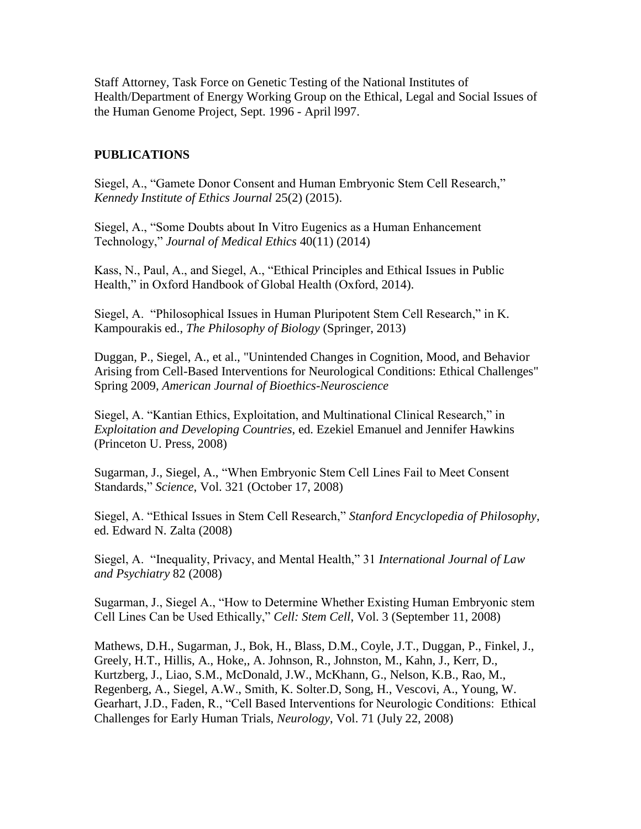Staff Attorney, Task Force on Genetic Testing of the National Institutes of Health/Department of Energy Working Group on the Ethical, Legal and Social Issues of the Human Genome Project, Sept. 1996 - April l997.

## **PUBLICATIONS**

Siegel, A., "Gamete Donor Consent and Human Embryonic Stem Cell Research," *Kennedy Institute of Ethics Journal* 25(2) (2015).

Siegel, A., "Some Doubts about In Vitro Eugenics as a Human Enhancement Technology," *Journal of Medical Ethics* 40(11) (2014)

Kass, N., Paul, A., and Siegel, A., "Ethical Principles and Ethical Issues in Public Health," in Oxford Handbook of Global Health (Oxford, 2014).

Siegel, A. "Philosophical Issues in Human Pluripotent Stem Cell Research," in K. Kampourakis ed., *The Philosophy of Biology* (Springer, 2013)

Duggan, P., Siegel, A., et al., "Unintended Changes in Cognition, Mood, and Behavior Arising from Cell-Based Interventions for Neurological Conditions: Ethical Challenges" Spring 2009, *American Journal of Bioethics-Neuroscience*

Siegel, A. "Kantian Ethics, Exploitation, and Multinational Clinical Research," in *Exploitation and Developing Countries*, ed. Ezekiel Emanuel and Jennifer Hawkins (Princeton U. Press, 2008)

Sugarman, J., Siegel, A., "When Embryonic Stem Cell Lines Fail to Meet Consent Standards," *Science*, Vol. 321 (October 17, 2008)

Siegel, A. "Ethical Issues in Stem Cell Research," *Stanford Encyclopedia of Philosophy*, ed. Edward N. Zalta (2008)

Siegel, A. "Inequality, Privacy, and Mental Health," 31 *International Journal of Law and Psychiatry* 82 (2008)

Sugarman, J., Siegel A., "How to Determine Whether Existing Human Embryonic stem Cell Lines Can be Used Ethically," *Cell: Stem Cell*, Vol. 3 (September 11, 2008)

Mathews, D.H., Sugarman, J., Bok, H., Blass, D.M., Coyle, J.T., Duggan, P., Finkel, J., Greely, H.T., Hillis, A., Hoke,, A. Johnson, R., Johnston, M., Kahn, J., Kerr, D., Kurtzberg, J., Liao, S.M., McDonald, J.W., McKhann, G., Nelson, K.B., Rao, M., Regenberg, A., Siegel, A.W., Smith, K. Solter.D, Song, H., Vescovi, A., Young, W. Gearhart, J.D., Faden, R., "Cell Based Interventions for Neurologic Conditions: Ethical Challenges for Early Human Trials, *Neurology*, Vol. 71 (July 22, 2008)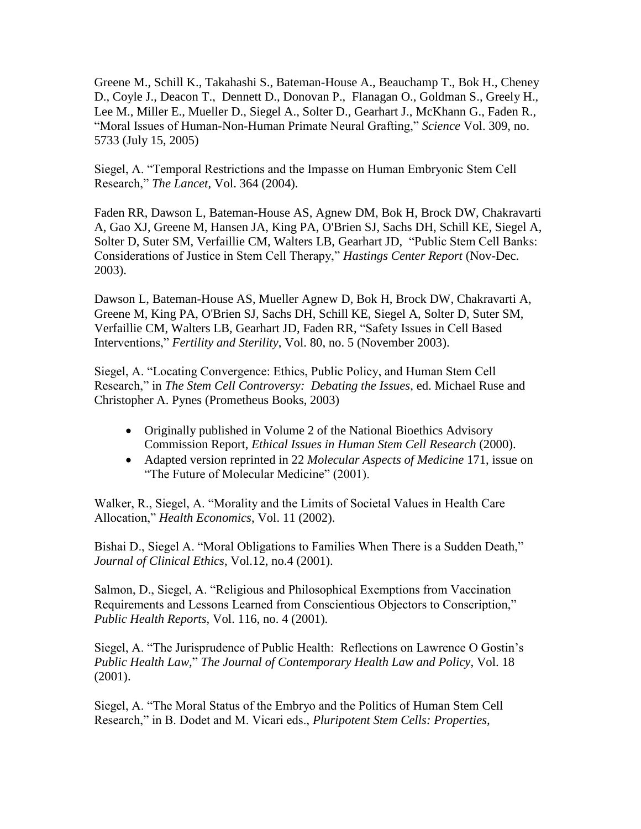Greene M., Schill K., Takahashi S., Bateman-House A., Beauchamp T., Bok H., Cheney D., Coyle J., Deacon T., Dennett D., Donovan P., Flanagan O., Goldman S., Greely H., Lee M., Miller E., Mueller D., Siegel A., Solter D., Gearhart J., McKhann G., Faden R., "Moral Issues of Human-Non-Human Primate Neural Grafting," *Science* Vol. 309, no. 5733 (July 15, 2005)

Siegel, A. "Temporal Restrictions and the Impasse on Human Embryonic Stem Cell Research," *The Lancet*, Vol. 364 (2004).

Faden RR, Dawson L, Bateman-House AS, Agnew DM, Bok H, Brock DW, Chakravarti A, Gao XJ, Greene M, Hansen JA, King PA, O'Brien SJ, Sachs DH, Schill KE, Siegel A, Solter D, Suter SM, Verfaillie CM, Walters LB, Gearhart JD, "Public Stem Cell Banks: Considerations of Justice in Stem Cell Therapy," *Hastings Center Report* (Nov-Dec. 2003).

Dawson L, Bateman-House AS, Mueller Agnew D, Bok H, Brock DW, Chakravarti A, Greene M, King PA, O'Brien SJ, Sachs DH, Schill KE, Siegel A, Solter D, Suter SM, Verfaillie CM, Walters LB, Gearhart JD, Faden RR, "Safety Issues in Cell Based Interventions," *Fertility and Sterility*, Vol. 80, no. 5 (November 2003).

Siegel, A. "Locating Convergence: Ethics, Public Policy, and Human Stem Cell Research," in *The Stem Cell Controversy: Debating the Issues*, ed. Michael Ruse and Christopher A. Pynes (Prometheus Books, 2003)

- Originally published in Volume 2 of the National Bioethics Advisory Commission Report, *Ethical Issues in Human Stem Cell Research* (2000).
- Adapted version reprinted in 22 *Molecular Aspects of Medicine* 171, issue on "The Future of Molecular Medicine" (2001).

Walker, R., Siegel, A. "Morality and the Limits of Societal Values in Health Care Allocation," *Health Economics*, Vol. 11 (2002).

Bishai D., Siegel A. "Moral Obligations to Families When There is a Sudden Death," *Journal of Clinical Ethics*, Vol.12, no.4 (2001).

Salmon, D., Siegel, A. "Religious and Philosophical Exemptions from Vaccination Requirements and Lessons Learned from Conscientious Objectors to Conscription," *Public Health Reports*, Vol. 116, no. 4 (2001).

Siegel, A. "The Jurisprudence of Public Health: Reflections on Lawrence O Gostin's *Public Health Law,*" *The Journal of Contemporary Health Law and Policy*, Vol. 18 (2001).

Siegel, A. "The Moral Status of the Embryo and the Politics of Human Stem Cell Research," in B. Dodet and M. Vicari eds., *Pluripotent Stem Cells: Properties,*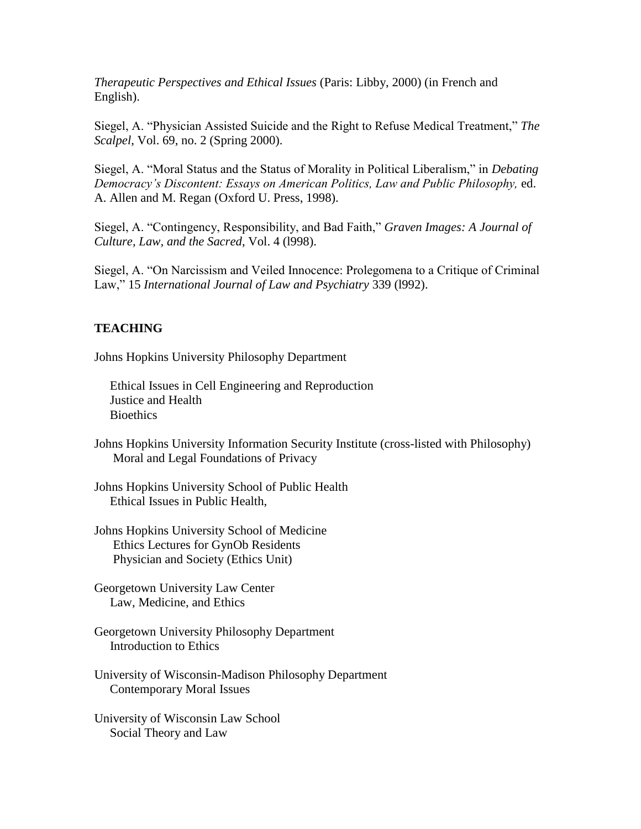*Therapeutic Perspectives and Ethical Issues* (Paris: Libby, 2000) (in French and English).

Siegel, A. "Physician Assisted Suicide and the Right to Refuse Medical Treatment," *The Scalpel*, Vol. 69, no. 2 (Spring 2000).

Siegel, A. "Moral Status and the Status of Morality in Political Liberalism," in *Debating Democracy's Discontent: Essays on American Politics, Law and Public Philosophy,* ed. A. Allen and M. Regan (Oxford U. Press, 1998).

Siegel, A. "Contingency, Responsibility, and Bad Faith," *Graven Images: A Journal of Culture, Law, and the Sacred*, Vol. 4 (l998).

Siegel, A. "On Narcissism and Veiled Innocence: Prolegomena to a Critique of Criminal Law," 15 *International Journal of Law and Psychiatry* 339 (l992).

# **TEACHING**

Johns Hopkins University Philosophy Department

 Ethical Issues in Cell Engineering and Reproduction Justice and Health **Bioethics** 

Johns Hopkins University Information Security Institute (cross-listed with Philosophy) Moral and Legal Foundations of Privacy

Johns Hopkins University School of Public Health Ethical Issues in Public Health,

Johns Hopkins University School of Medicine Ethics Lectures for GynOb Residents Physician and Society (Ethics Unit)

Georgetown University Law Center Law, Medicine, and Ethics

Georgetown University Philosophy Department Introduction to Ethics

University of Wisconsin-Madison Philosophy Department Contemporary Moral Issues

University of Wisconsin Law School Social Theory and Law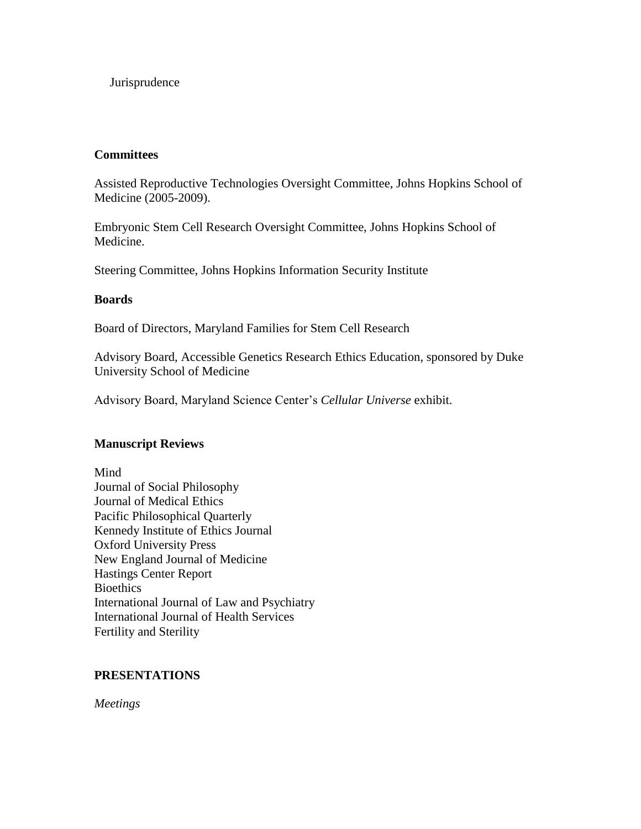#### Jurisprudence

#### **Committees**

Assisted Reproductive Technologies Oversight Committee, Johns Hopkins School of Medicine (2005-2009).

Embryonic Stem Cell Research Oversight Committee, Johns Hopkins School of Medicine.

Steering Committee, Johns Hopkins Information Security Institute

#### **Boards**

Board of Directors, Maryland Families for Stem Cell Research

Advisory Board, Accessible Genetics Research Ethics Education, sponsored by Duke University School of Medicine

Advisory Board, Maryland Science Center's *Cellular Universe* exhibit.

#### **Manuscript Reviews**

Mind Journal of Social Philosophy Journal of Medical Ethics Pacific Philosophical Quarterly Kennedy Institute of Ethics Journal Oxford University Press New England Journal of Medicine Hastings Center Report **Bioethics** International Journal of Law and Psychiatry International Journal of Health Services Fertility and Sterility

#### **PRESENTATIONS**

*Meetings*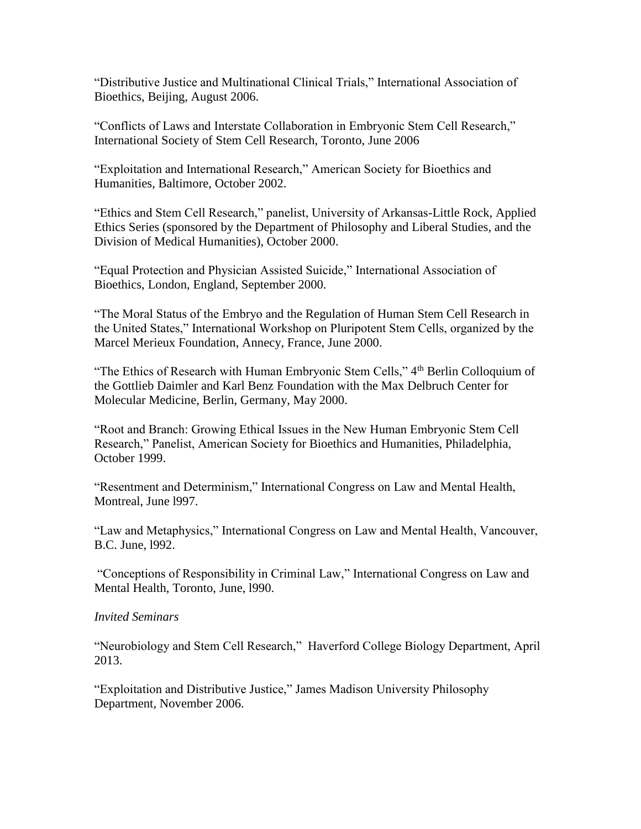"Distributive Justice and Multinational Clinical Trials," International Association of Bioethics, Beijing, August 2006.

"Conflicts of Laws and Interstate Collaboration in Embryonic Stem Cell Research," International Society of Stem Cell Research, Toronto, June 2006

"Exploitation and International Research," American Society for Bioethics and Humanities, Baltimore, October 2002.

"Ethics and Stem Cell Research," panelist, University of Arkansas-Little Rock, Applied Ethics Series (sponsored by the Department of Philosophy and Liberal Studies, and the Division of Medical Humanities), October 2000.

"Equal Protection and Physician Assisted Suicide," International Association of Bioethics, London, England, September 2000.

"The Moral Status of the Embryo and the Regulation of Human Stem Cell Research in the United States," International Workshop on Pluripotent Stem Cells, organized by the Marcel Merieux Foundation, Annecy, France, June 2000.

"The Ethics of Research with Human Embryonic Stem Cells," 4<sup>th</sup> Berlin Colloquium of the Gottlieb Daimler and Karl Benz Foundation with the Max Delbruch Center for Molecular Medicine, Berlin, Germany, May 2000.

"Root and Branch: Growing Ethical Issues in the New Human Embryonic Stem Cell Research," Panelist, American Society for Bioethics and Humanities, Philadelphia, October 1999.

"Resentment and Determinism," International Congress on Law and Mental Health, Montreal, June l997.

"Law and Metaphysics," International Congress on Law and Mental Health, Vancouver, B.C. June, l992.

"Conceptions of Responsibility in Criminal Law," International Congress on Law and Mental Health, Toronto, June, l990.

#### *Invited Seminars*

"Neurobiology and Stem Cell Research," Haverford College Biology Department, April 2013.

"Exploitation and Distributive Justice," James Madison University Philosophy Department, November 2006.